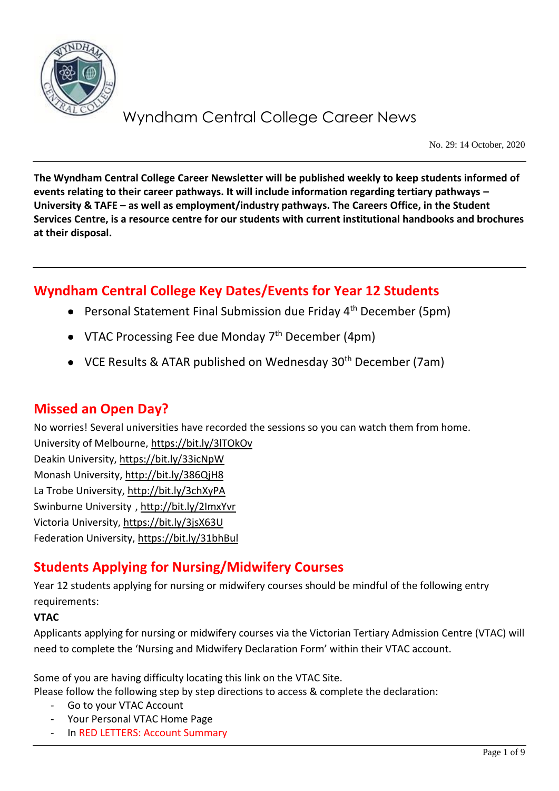

No. 29: 14 October, 2020

**The Wyndham Central College Career Newsletter will be published weekly to keep students informed of events relating to their career pathways. It will include information regarding tertiary pathways – University & TAFE – as well as employment/industry pathways. The Careers Office, in the Student Services Centre, is a resource centre for our students with current institutional handbooks and brochures at their disposal.**

## **Wyndham Central College Key Dates/Events for Year 12 Students**

- Personal Statement Final Submission due Friday 4<sup>th</sup> December (5pm)
- VTAC Processing Fee due Monday  $7<sup>th</sup>$  December (4pm)
- VCE Results & ATAR published on Wednesday 30<sup>th</sup> December (7am)

### **Missed an Open Day?**

No worries! Several universities have recorded the sessions so you can watch them from home. University of Melbourne[, https://bit.ly/3lTOkOv](https://bit.ly/3lTOkOv)

Deakin University,<https://bit.ly/33icNpW> Monash University,<http://bit.ly/386QjH8> La Trobe University,<http://bit.ly/3chXyPA> Swinburne University [, http://bit.ly/2ImxYvr](http://bit.ly/2ImxYvr) Victoria University,<https://bit.ly/3jsX63U> Federation University[, https://bit.ly/31bhBul](https://bit.ly/31bhBul)

## **Students Applying for Nursing/Midwifery Courses**

Year 12 students applying for nursing or midwifery courses should be mindful of the following entry requirements:

#### **VTAC**

Applicants applying for nursing or midwifery courses via the Victorian Tertiary Admission Centre (VTAC) will need to complete the 'Nursing and Midwifery Declaration Form' within their VTAC account.

Some of you are having difficulty locating this link on the VTAC Site. Please follow the following step by step directions to access & complete the declaration:

- Go to your VTAC Account
- Your Personal VTAC Home Page
- In RED LETTERS: Account Summary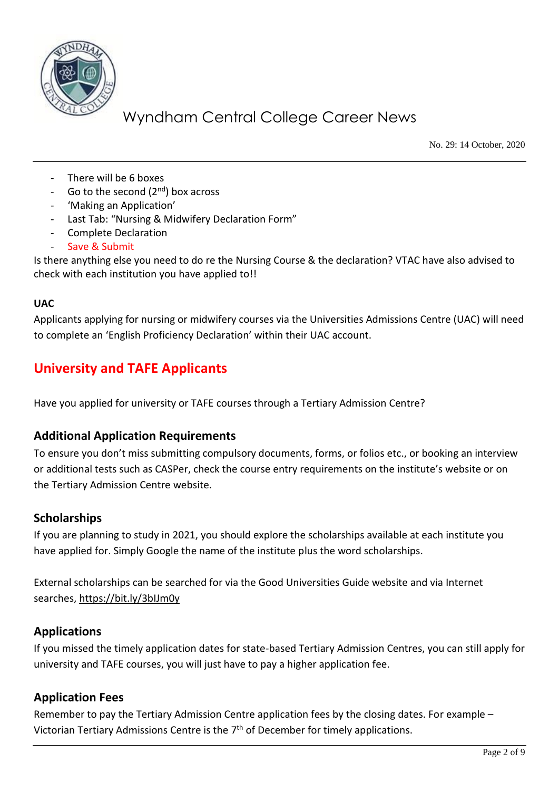

No. 29: 14 October, 2020

- There will be 6 boxes
- Go to the second  $(2^{nd})$  box across
- 'Making an Application'
- Last Tab: "Nursing & Midwifery Declaration Form"
- Complete Declaration
- Save & Submit

Is there anything else you need to do re the Nursing Course & the declaration? VTAC have also advised to check with each institution you have applied to!!

#### **UAC**

Applicants applying for nursing or midwifery courses via the Universities Admissions Centre (UAC) will need to complete an 'English Proficiency Declaration' within their UAC account.

## **University and TAFE Applicants**

Have you applied for university or TAFE courses through a Tertiary Admission Centre?

### **Additional Application Requirements**

To ensure you don't miss submitting compulsory documents, forms, or folios etc., or booking an interview or additional tests such as CASPer, check the course entry requirements on the institute's website or on the Tertiary Admission Centre website.

#### **Scholarships**

If you are planning to study in 2021, you should explore the scholarships available at each institute you have applied for. Simply Google the name of the institute plus the word scholarships.

External scholarships can be searched for via the Good Universities Guide website and via Internet searches,<https://bit.ly/3bIJm0y>

### **Applications**

If you missed the timely application dates for state-based Tertiary Admission Centres, you can still apply for university and TAFE courses, you will just have to pay a higher application fee.

#### **Application Fees**

Remember to pay the Tertiary Admission Centre application fees by the closing dates. For example – Victorian Tertiary Admissions Centre is the  $7<sup>th</sup>$  of December for timely applications.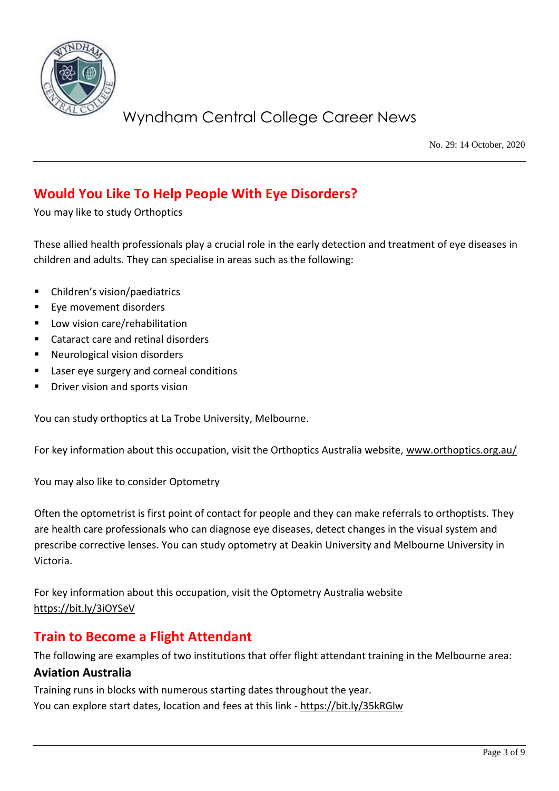

No. 29: 14 October, 2020

## **Would You Like To Help People With Eye Disorders?**

You may like to study Orthoptics

These allied health professionals play a crucial role in the early detection and treatment of eye diseases in children and adults. They can specialise in areas such as the following:

- Children's vision/paediatrics
- Eye movement disorders
- Low vision care/rehabilitation
- Cataract care and retinal disorders
- Neurological vision disorders
- Laser eye surgery and corneal conditions
- Driver vision and sports vision

You can study orthoptics at La Trobe University, Melbourne.

For key information about this occupation, visit the Orthoptics Australia website, [www.orthoptics.org.au/](http://www.orthoptics.org.au/)

You may also like to consider Optometry

Often the optometrist is first point of contact for people and they can make referrals to orthoptists. They are health care professionals who can diagnose eye diseases, detect changes in the visual system and prescribe corrective lenses. You can study optometry at Deakin University and Melbourne University in Victoria.

For key information about this occupation, visit the Optometry Australia website <https://bit.ly/3iOYSeV>

## **Train to Become a Flight Attendant**

The following are examples of two institutions that offer flight attendant training in the Melbourne area:

#### **Aviation Australia**

Training runs in blocks with numerous starting dates throughout the year. You can explore start dates, location and fees at this link - <https://bit.ly/35kRGlw>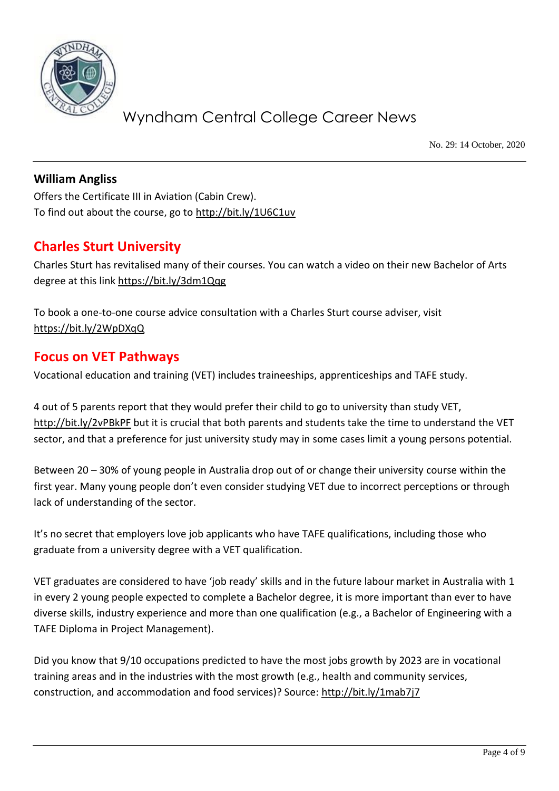

No. 29: 14 October, 2020

### **William Angliss**

Offers the Certificate III in Aviation (Cabin Crew). To find out about the course, go to<http://bit.ly/1U6C1uv>

### **Charles Sturt University**

Charles Sturt has revitalised many of their courses. You can watch a video on their new Bachelor of Arts degree at this lin[k https://bit.ly/3dm1Qqg](https://bit.ly/3dm1Qqg)

To book a one-to-one course advice consultation with a Charles Sturt course adviser, visit <https://bit.ly/2WpDXqQ>

### **Focus on VET Pathways**

Vocational education and training (VET) includes traineeships, apprenticeships and TAFE study.

4 out of 5 parents report that they would prefer their child to go to university than study VET, <http://bit.ly/2vPBkPF> but it is crucial that both parents and students take the time to understand the VET sector, and that a preference for just university study may in some cases limit a young persons potential.

Between 20 – 30% of young people in Australia drop out of or change their university course within the first year. Many young people don't even consider studying VET due to incorrect perceptions or through lack of understanding of the sector.

It's no secret that employers love job applicants who have TAFE qualifications, including those who graduate from a university degree with a VET qualification.

VET graduates are considered to have 'job ready' skills and in the future labour market in Australia with 1 in every 2 young people expected to complete a Bachelor degree, it is more important than ever to have diverse skills, industry experience and more than one qualification (e.g., a Bachelor of Engineering with a TAFE Diploma in Project Management).

Did you know that 9/10 occupations predicted to have the most jobs growth by 2023 are in vocational training areas and in the industries with the most growth (e.g., health and community services, construction, and accommodation and food services)? Source:<http://bit.ly/1mab7j7>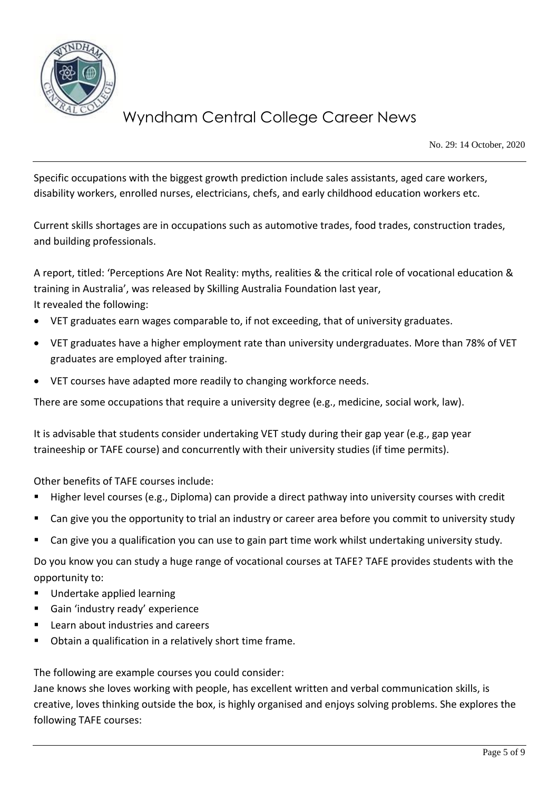

No. 29: 14 October, 2020

Specific occupations with the biggest growth prediction include sales assistants, aged care workers, disability workers, enrolled nurses, electricians, chefs, and early childhood education workers etc.

Current skills shortages are in occupations such as automotive trades, food trades, construction trades, and building professionals.

A report, titled: 'Perceptions Are Not Reality: myths, realities & the critical role of vocational education & training in Australia', was released by Skilling Australia Foundation last year, It revealed the following:

- VET graduates earn wages comparable to, if not exceeding, that of university graduates.
- VET graduates have a higher employment rate than university undergraduates. More than 78% of VET graduates are employed after training.
- VET courses have adapted more readily to changing workforce needs.

There are some occupations that require a university degree (e.g., medicine, social work, law).

It is advisable that students consider undertaking VET study during their gap year (e.g., gap year traineeship or TAFE course) and concurrently with their university studies (if time permits).

Other benefits of TAFE courses include:

- Higher level courses (e.g., Diploma) can provide a direct pathway into university courses with credit
- Can give you the opportunity to trial an industry or career area before you commit to university study
- Can give you a qualification you can use to gain part time work whilst undertaking university study.

Do you know you can study a huge range of vocational courses at TAFE? TAFE provides students with the opportunity to:

- Undertake applied learning
- Gain 'industry ready' experience
- Learn about industries and careers
- Obtain a qualification in a relatively short time frame.

The following are example courses you could consider:

Jane knows she loves working with people, has excellent written and verbal communication skills, is creative, loves thinking outside the box, is highly organised and enjoys solving problems. She explores the following TAFE courses: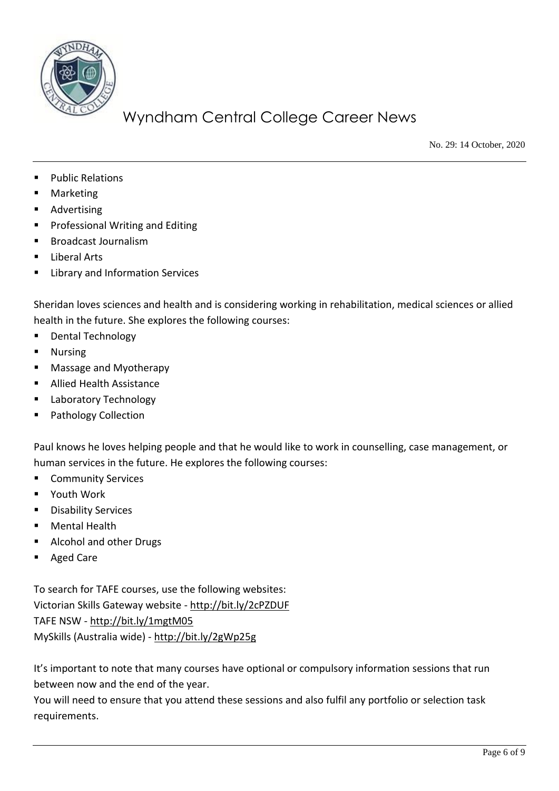

No. 29: 14 October, 2020

- Public Relations
- **Marketing**
- Advertising
- Professional Writing and Editing
- **Broadcast Journalism**
- Liberal Arts
- **Library and Information Services**

Sheridan loves sciences and health and is considering working in rehabilitation, medical sciences or allied health in the future. She explores the following courses:

- Dental Technology
- Nursing
- Massage and Myotherapy
- Allied Health Assistance
- **Laboratory Technology**
- Pathology Collection

Paul knows he loves helping people and that he would like to work in counselling, case management, or human services in the future. He explores the following courses:

- Community Services
- Youth Work
- Disability Services
- Mental Health
- Alcohol and other Drugs
- Aged Care

To search for TAFE courses, use the following websites: Victorian Skills Gateway website - <http://bit.ly/2cPZDUF> TAFE NSW - <http://bit.ly/1mgtM05> MySkills (Australia wide) - <http://bit.ly/2gWp25g>

It's important to note that many courses have optional or compulsory information sessions that run between now and the end of the year.

You will need to ensure that you attend these sessions and also fulfil any portfolio or selection task requirements.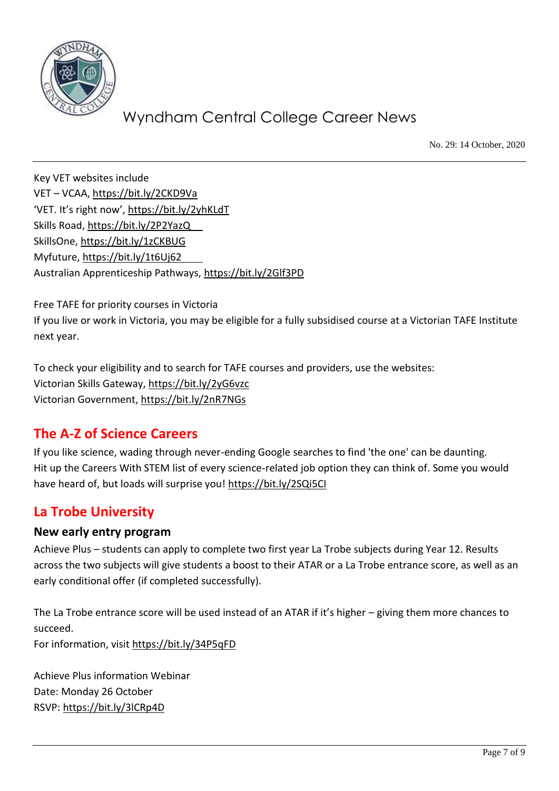

No. 29: 14 October, 2020

Key VET websites include VET – VCAA[, https://bit.ly/2CKD9Va](https://bit.ly/2CKD9Va) 'VET. It's right now', <https://bit.ly/2yhKLdT> Skills Road,<https://bit.ly/2P2YazQ> SkillsOne,<https://bit.ly/1zCKBUG> Myfuture,<https://bit.ly/1t6Uj62> Australian Apprenticeship Pathways,<https://bit.ly/2Glf3PD>

Free TAFE for priority courses in Victoria If you live or work in Victoria, you may be eligible for a fully subsidised course at a Victorian TAFE Institute next year.

To check your eligibility and to search for TAFE courses and providers, use the websites: Victorian Skills Gateway,<https://bit.ly/2yG6vzc> Victorian Government,<https://bit.ly/2nR7NGs>

## **The A-Z of Science Careers**

If you like science, wading through never-ending Google searches to find 'the one' can be daunting. Hit up the Careers With STEM list of every science-related job option they can think of. Some you would have heard of, but loads will surprise you!<https://bit.ly/2SQi5CI>

## **La Trobe University**

### **New early entry program**

Achieve Plus – students can apply to complete two first year La Trobe subjects during Year 12. Results across the two subjects will give students a boost to their ATAR or a La Trobe entrance score, as well as an early conditional offer (if completed successfully).

The La Trobe entrance score will be used instead of an ATAR if it's higher – giving them more chances to succeed.

For information, visit<https://bit.ly/34P5qFD>

Achieve Plus information Webinar Date: Monday 26 October RSVP:<https://bit.ly/3lCRp4D>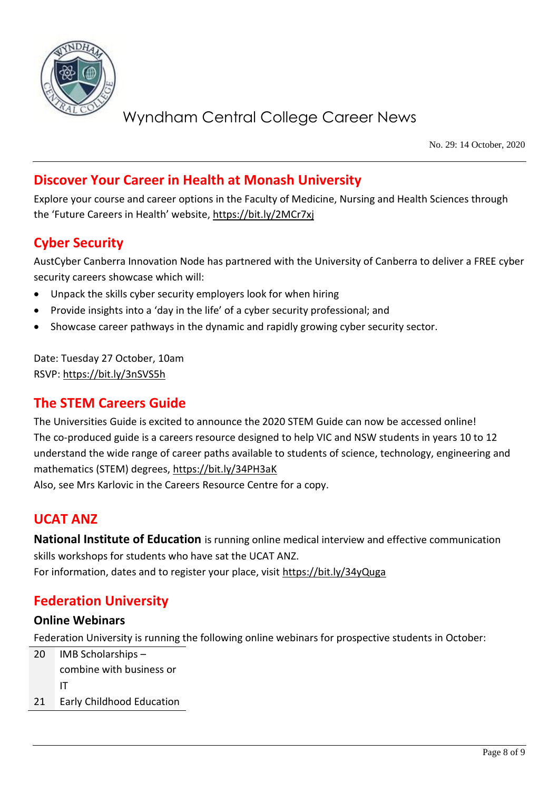

No. 29: 14 October, 2020

### **Discover Your Career in Health at Monash University**

Explore your course and career options in the Faculty of Medicine, Nursing and Health Sciences through the 'Future Careers in Health' website, <https://bit.ly/2MCr7xj>

### **Cyber Security**

AustCyber Canberra Innovation Node has partnered with the University of Canberra to deliver a FREE cyber security careers showcase which will:

- Unpack the skills cyber security employers look for when hiring
- Provide insights into a 'day in the life' of a cyber security professional; and
- Showcase career pathways in the dynamic and rapidly growing cyber security sector.

Date: Tuesday 27 October, 10am RSVP:<https://bit.ly/3nSVS5h>

### **The STEM Careers Guide**

The Universities Guide is excited to announce the 2020 STEM Guide can now be accessed online! The co-produced guide is a careers resource designed to help VIC and NSW students in years 10 to 12 understand the wide range of career paths available to students of science, technology, engineering and mathematics (STEM) degrees,<https://bit.ly/34PH3aK> Also, see Mrs Karlovic in the Careers Resource Centre for a copy.

### **UCAT ANZ**

**National Institute of Education** is running online medical interview and effective communication skills workshops for students who have sat the UCAT ANZ. For information, dates and to register your place, visit<https://bit.ly/34yQuga>

## **Federation University**

#### **Online Webinars**

Federation University is running the following online webinars for prospective students in October:

20 IMB Scholarships – combine with business or IT

21 Early Childhood Education